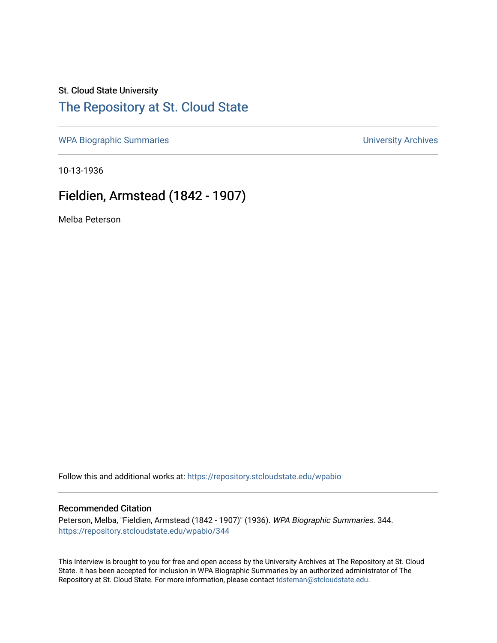#### St. Cloud State University

## [The Repository at St. Cloud State](https://repository.stcloudstate.edu/)

[WPA Biographic Summaries](https://repository.stcloudstate.edu/wpabio) **WPA Biographic Summaries University Archives** 

10-13-1936

## Fieldien, Armstead (1842 - 1907)

Melba Peterson

Follow this and additional works at: [https://repository.stcloudstate.edu/wpabio](https://repository.stcloudstate.edu/wpabio?utm_source=repository.stcloudstate.edu%2Fwpabio%2F344&utm_medium=PDF&utm_campaign=PDFCoverPages) 

#### Recommended Citation

Peterson, Melba, "Fieldien, Armstead (1842 - 1907)" (1936). WPA Biographic Summaries. 344. [https://repository.stcloudstate.edu/wpabio/344](https://repository.stcloudstate.edu/wpabio/344?utm_source=repository.stcloudstate.edu%2Fwpabio%2F344&utm_medium=PDF&utm_campaign=PDFCoverPages) 

This Interview is brought to you for free and open access by the University Archives at The Repository at St. Cloud State. It has been accepted for inclusion in WPA Biographic Summaries by an authorized administrator of The Repository at St. Cloud State. For more information, please contact [tdsteman@stcloudstate.edu.](mailto:tdsteman@stcloudstate.edu)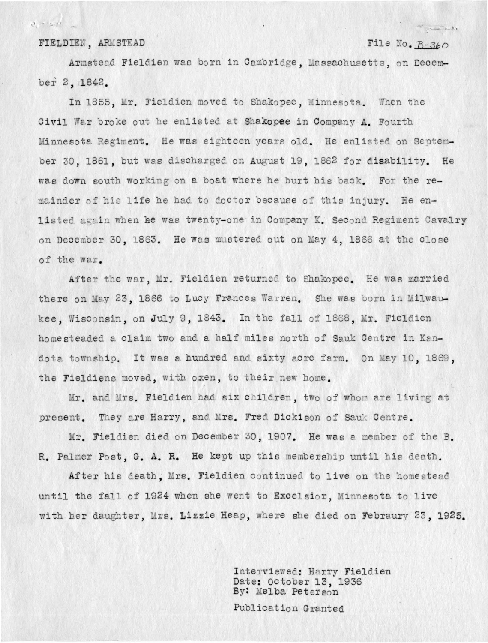FIELDIEN, ARMSTEAD

 $v_x - v_y$  %

File No. B-360

 $\frac{1}{\sqrt{2}}\int_{-\infty}^{\infty}\frac{1}{\sqrt{2\pi}}\int_{-\infty}^{\infty}\frac{1}{\sqrt{2\pi}}\int_{-\infty}^{\infty}\frac{1}{\sqrt{2\pi}}\int_{-\infty}^{\infty}\frac{1}{\sqrt{2\pi}}\int_{-\infty}^{\infty}\frac{1}{\sqrt{2\pi}}\int_{-\infty}^{\infty}\frac{1}{\sqrt{2\pi}}\int_{-\infty}^{\infty}\frac{1}{\sqrt{2\pi}}\int_{-\infty}^{\infty}\frac{1}{\sqrt{2\pi}}\int_{-\infty}^{\infty}\frac{1}{\sqrt{2\pi}}\int_{$ 

Armstead Fieldien was born in Cambridge, Massachusetts, on December 2, 1842.

In 1855, Mr. Fieldien moved to Shakopee, Minnesota. When the Civil War broke out he enlisted at Shakopee in Company A. Fourth Minnesota Regiment. He was eighteen years old. He enlisted on September 30, 1861, but was discharged on August 19, 1862 for disability. He was down south working on a boat where he hurt his back. For the remainder of his life he had to doctor because of this injury. He enlisted again when he was twenty-one in Company K. Second Regiment Cavalry on December 30, 1863. He was mustered out on May 4, 1866 at the close of the war.

After the war, Mr. Fieldien returned to Shakopee. He was married there on May 23, 1866 to Lucy Frances Warren. She was born in Milwaukee. Wisconsin, on July 9, 1843. In the fall of 1868, Mr. Fieldien homesteaded a claim two and a half miles north of Sauk Centre in Kandota township. It was a hundred and sixty acre farm. On May 10, 1869, the Fieldiens moved, with oxen, to their new home.

Mr. and Mrs. Fieldien had six children, two of whom are living at present. They are Harry, and Mrs. Fred Dickison of Sauk Centre.

Mr. Fieldien died on December 30, 1907. He was a member of the B. R. Palmer Post, G. A. R. He kept up this membership until his death.

After his death. Mrs. Fieldien continued to live on the homestead until the fall of 1924 when she went to Excelsior, Minnesota to live with her daughter, Mrs. Lizzie Heap, where she died on Febraury 23, 1925.

> Interviewed: Harry Fieldien Date: October 13, 1936 By: Melba Peterson

Publication Granted